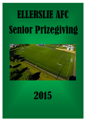# Senior Prizegiving ELLERSLIE AFC



# 2015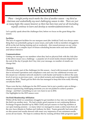# Welcome

*Phew – tonight pretty much marks the close of another season – my third as chairman and undoubtedly my most challenging season to date. There are just as many highs this season however as there has been lows and we all (including myself) continue to learn and develop as members/administrators etc.* 

Let's quickly speak about the challenges first, before we focus on the great things this season.

#### **Facilities**

The lack of support facilities for our marquee asset (the Artificial Turf) was always something that was potentially going to cause issues, and sadly it did as members struggled to all fit on the turf during training and on weekends – this caused pressure on our volunteer network as a complex layer of fixture scheduling became more and more difficult and labour intensive

#### **Communications**

Getting our message to our members when they had no physical link with the club (due to the above issue) was a challenge – a popular set of social media streams helped but at the end of the day if people don't buy into your message, no number of emails can change that.

#### **Finances**

Obviously a key part of the challenges for this season – faced with increased costs mainly due to increased operations and compliance costs and very few additional revenue outlets meant our volunteer network needed to work harder and harder to deliver the same level of service as previous years – not an ideal scenario and something we can hopefully remedy for 2016. Thank god for Rob who has managed to keep this from really blowing out (thanks Rob!!)

Those were the key challenges for the 2015 season, but to put a positive spin on things – without experiencing challenging moments you are not pushed to achieve positive change – and that's something we are very keen to see in 2016. Our highlights for the 2015 season were:

#### **On-Field Membership Affiliation**

Whilst off the field we sometimes struggled to get members to buy into our initiatives, on the field was another story. We had a pretty good response to our continuing Referee Exchange Program (headed up by Mike Clark) and pre-season we had big numbers at our open training sessions – so many infact we managed to create a entire team from all the new faces (thanks to Nathan and Anthony for this). Teams generally had more players this season and results showed with some very impressive if not consistent results across all our teams. We hope to continue this by running all these little programs again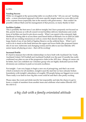#### in 2016.

#### **Funding Success**

While we struggled at the sponsorship table we excelled at the "All you can eat" funding table – a more structured approach with more specific targets meant we were able to tick a few expense boxes (especially late in the season) with grant money – that couldn't be possible without Mark and his management of that process, so many thanks to him!

#### **Facilities Update**

This is probably the best news I can deliver tonight, but I have purposely not focused on this, purely because as with all council owned facilities delivery timeframes and conditions of facilities are hard to pin down exactly. What I can report is the extremely high likelihood of being able to access three sand based fields at Michaels Ave in 2016 (in addition to all our existing resources) as well as a more than decent chance we will have a large chunk of use of one field at Ngahue Reserve on the artificial there. What I can't wait to do is stand on the bank between the upper and lower fields (the proposed future site of our new clubrooms and changing rooms) and be able to see four Ellerslie AFC senior teams all playing at once – that will be exciting!

#### **Increased Profile**

It's hard to measure but with the relationships we have built with Auckland City Youth, Auckland United, NZ Football and Auckland Football over the past 12 months has really confirmed our place as one of the progressive clubs in the AFF area – things of course can be better, but I am confident our volunteer group who are highly dedicated (across both divisions) can continue to push us towards excellence.

For tonight – I am very happy to begin a new era of prizegiving, and that's an event which is inclusive for all members, tonight is just the start but we have already broken boundaries with tonight's attendance of roughly 150 people being our biggest ever event. There really is no limit to how big this event could be and that's also pretty exciting.

Please enjoy the event and drink merrily but responsibly and take the chance to get to know a couple of members from another team and celebrate what makes Ellerslie AFC the club it is:

*a big club with a family orientated attitude*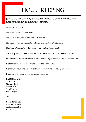### HOUSEKEEPING

Just so we can all enjoy the night as much as possible please take note of the following housekeeping rules:

No smoking inside

No drinks to be taken outside

No heels to be worn in the YMCA Stadium

No glass bottles or glasses to be taken into the YMCA Stadium

Men's and Women's Toilets are upstairs in the Sports Club

Club Trophies are to be left at the club - personal mini's can be taken home

Food is available for purchase in the kitchen—light snacks will also be available

Water is available for free at the bar in the Sports Club

Please turn your phones to silent while the awards are being carried out

If you have an issue please come see one of us:

#### **EAFC Committee**

Tim Adams Nathan Russ Mike Clark Tim Hawes Paul Grogan

Or

**Bar/Kitchen Staff**

Alannah Miekle Saskia Hardaker Joyce Long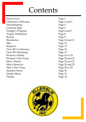## Contents

Front Cover Page 1 Chairman's Welcome Page 2 and 3 Housekeeping Page 4 Contents Page 5 Tonight's Program Page 6 and 7 Trophy Definitions Page 8 Boylan Page 9 Shotaholics Page 10 and 11 Elks Page 12 Simpson Page 13 Over 40's Conference Page 14 Over 40's Mustangs Page 15 Women's Rebels Page 16 to 19 Women's First Team Page 20 and 21 Men's Thirds Page 22 and 23 Men's Reserves Page 24 and 25 Men's First Team Page 26 to 29 Summer Series Page 30 Drinks Menu Page 31 Thanks Page 32

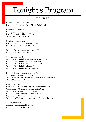# Tonight's Program

#### **TEAM AWARDS**

Kiwis v the Rest (under 30's) Kiwis v the Rest (over 30's) - Willy de Witt Trophy

*Nathan Russ to present* Div 5 Shotaholics – Sportsman of the Year Div 5 Shotaholics – Player of the Year TEAM MEDALS - LEAGUE

*David Simpson to present* Div 3 Simpson – Sportsman of the Year Div 3 Simpson – Player of the Year

Women's Div 3 – Sportswomen of the Year Women's Div 3 – Player of the Year

*Nga Kairua to present* Women's Div 1 Rebels – Sportswomen of the Year Women's Div 1 Rebels – Player of the Year Women's Div 1 Rebels – Most Consistent Player Women's Div 1 Rebels – Golden Boot Women's Div 1 Rebels – Most Improved

Over 40's Metro – Sportsman of the Year Over 40's Metro – Player of the Year Over 40's Metro – Jo Crichton Supporters Player of the Year TEAM MEDALS - LEAGUE

*Jason Oliver to present* Women's AFF Conference – Sportswomen of the Year Women's AFF Conference – Player of the Year Women's AFF Conference – Players Player Women's AFF Conference – Golden Boot Women's AFF Conference – Most Improved Women's AFF Conference – Supporters Player of the Year

*Anthony to present* All Stars – Sportsman of the Year All Stars – Player of the Year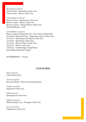*Ben Pauley to present* Thirds Team – Sportsman of the Year Thirds Team – Player of the Year

*Fred Poelman to present* Reserve Team – Sportsman of the Year Reserve Team – Player of the Year Reserves Team – Players Player of the Year TEAM MEDALS - CUP

*Chris Wallace to present* Brian Compson Memorial Cup – First Team Golden Boot Joe Walton Memorial Cup – Supporters Player of the Year 1st Team – Most Improved Player of the Year 1st Team – Sportsman of the Year 1st Team – Players Player of the Year 1st Team – Player of the Year Colt Cup – Outstanding Young Player Jack Hatton Memorial Trophy

INTERMISSION – 15 mins

#### **CLUB AWARDS**

*Paul to present* Club Golden Boot

*Tim H to present* Brewster Shield – Best Overall Performance

*Freddie to present* Supporter of the Year

*Mike to present* Sportsperson of the Year

*Nathan to present* Ritchie Family Cup – Manager of the Year

*Tim A to present* Clubperson of the Year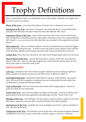# Trophy Definitions

Here is something to help you understand some of the trophy's handed out tonight, and how the winners are chosen.

Player of the Year-your teams best player, by team vote or chosen by your coach

**Sportsman of the Year**—the player who gave your team the most, on and off the field, typically also someone who plays hard but clean (the Ellerslie AFC way!)

**Supporters Player of the Year** - some of the teams have this award, most of them have been donated by ex members and have the trophy's themselves have ties to great Ellerslie AFC family's—as you can see from the title these are awarded to the supporters favourite player!

**Most Improved** - this is awarded to players who the coach thinks have made the biggest improvements during the year - it doesn't mean the player wasn't good to start with but more that their attitude and learning experience this season has been above the rest.

**Golden Boot** - Easy this one, the player who top scored (league goals only) for your team

**Players Player of the Year** - some of the teams have a player of the year and a players player of the year—this is as the title suggests the version that the players pick, it's not always the same as what the coach picks!

#### **SPECIAL AWARDS:**

**Colt Cup**—donated to the club to help recognise ultimate up and coming exceptional talent, usually rewarded to someone in the First Team or Reserves under 21.

**Jack Hatton Memorial**—donated by Matt Hylla in memory of his brother who passed away, this award also recognises exceptional up and coming talent but also takes into consideration a strong off-field personality.

**Club Golden Boot**—the top scorer across the entire club in league games—based on goals recorded on your teamcards

**Team of the Year**—this award is judged on league record alone - the team with the most games played and least losses (present at prizegiving) wins the "Team of the Year"

**Manager of the Year** - The Manager who has made a massive positive impact on his team this season, someone who goes above and beyond the call of duty regularly

**Sportsperson of the Year** - probably the most prestigious award for a player/member to win - the best of the best!

**Clubperson of the Year** - The ultimate award at the club—this award recognises ultimate contribution across any avenue at the club, could be a player, coach or a volunteer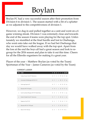# Boylan

Boylan FC had a very successful season after their promotion from Division 6 to division 1. The season started with a bit of a splutter as we adjusted to the competitiveness of division 1.

However, we dug in and pulled together as a unit and went on a 6 game winning streak. Division 1 was extremely close and towards the end of the season 4 teams were playing for the top spot. Unfortunately we stumbled at the final hurdle and lost to Onehunga, who went onto take out the league. If we had bet Onehunga that day we would have walked away with the top spot. Apart from the loss at the end the boys all had a great season and look to regroup for the 2016 season and plan to take it out this time. Cheers for all the Ellerslie organisers for making it a great year.

Player of the year – Matthew Boylan (as voted by the Team) Sportsman of the Year – James Cameron (as voted by the Team)

|                | POS TEAM                                  | P.           | <b>W</b>               | $\mathbf{D}$ |  |                                            | L F A GD PTS |
|----------------|-------------------------------------------|--------------|------------------------|--------------|--|--------------------------------------------|--------------|
| 1              | <b>Tuakau Soccer Club M1 Wanderers</b>    |              | 16 11 2 3 57 26 31 35  |              |  |                                            |              |
| $\overline{2}$ | University-Mt Wellington AFC M1 K.T.      |              | 16 11 1 4 58 21 37 34  |              |  |                                            |              |
| 3              | Onehunga Sports M1                        |              | 16 11 1 4 45 23 22 34  |              |  |                                            |              |
| L              | Ellerslie AFC M1 Boylan                   |              | 16 10 2 4 62 25 37 32  |              |  |                                            |              |
| 5              | South Auckland Rangers AFC M1 Bullet Boys | $16 \quad 8$ |                        |              |  | $2\quad 6\quad 29\quad 35\quad -6\quad 26$ |              |
| 6              | Orakei Football Club M1 Vatukoula         |              | $16$ 7 1 8 38 42 -4 22 |              |  |                                            |              |
| 7              | Papakura City FC M1                       |              | 16 6 1 9 33 42 -9 19   |              |  |                                            |              |
| 8              | Ellerslie AFC M1 TIP Squad                |              | 16 2 1 13 23 53 -30 7  |              |  |                                            |              |
| 9              | Metro FC M1 Wrimac                        | $16 \quad 0$ |                        |              |  | 1 15 19 97 -78 1                           |              |

#### **CURRENT LADDER**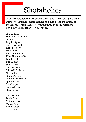# Shotaholics

2015 for Shotaholics was a season with quite a lot of change, with a number of squad members coming and going over the course of the season. This is likely to continue through to the summer series, but we have taken it in our stride.

Nathan Russ Shotaholics Manager Teamlist: Regular Squad: Aaron Beckford Blake Beckford Bradley Rae Brendan Kerwick Elliot Thompson-Bean Finn Knight Ivan Atkins James Marks Michael Clark Michael Woolerton Nathan Russ Nikhil D'Souza Nilroy Packiyarajah Quintin Russ Scott Harper Seamus Cervin Steve Soyeux

Casual Cohort: Lewis Parke Mathew Russell Moritz Berg Ross McInley Tim Hawes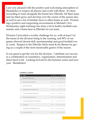I am very pleased with the positive and welcoming atmosphere in Shotaholics to respect all players and work with them. It's been rewarding to train alongside the brand new Ellerslie All Stars team and see them grow and develop over the course of the season also, as well as see a lot of familiar faces in other teams as well. Promoting a positive and supporting environment at Michael's Ave Wednesday night trainings has done a lot to build a football community and a home here at Ellerslie for our team.

Division 5 provided a worthy challenge for us, with at least 5 of the teams in the division being in the running, and 90% of our games showed decent skill, sportsmanship and good football every week. Respect to the Ellerslie Hicks team & Joe Barnes for giving us a couple of the most memorable games of the season.

It was great to get the win for the division. I attribute our success to a combination of consistency, organisation, determination and sheer hard work. Looking forward to the Summer series and next year. Shotaholics!

|                  | POS TEAM                                   | p      | W                     | D | L. | F. |                     | A GD PTS |
|------------------|--------------------------------------------|--------|-----------------------|---|----|----|---------------------|----------|
| $\mathbf{1}$     | Ellerslie AEC M5 Shotabolics               |        | 18 17 0               |   |    |    | 1 67 22 45 51       |          |
| $\overline{2}$   | Eastern Suburbs AFC M5 Mad11               |        | 18 13 2 3 68 27 41 41 |   |    |    |                     |          |
| 3                | <b>Ellerslie AFC M5 Hicks</b>              |        | 18 13 1 4 64 27 37 40 |   |    |    |                     |          |
| $\mathcal{L}$    | Bucklands Beach AFC M5 RED BULLS           |        | 18 10 3 5 43 35 8 33  |   |    |    |                     |          |
| 5                | South Auckland Rangers AFC M5 Suva         |        | 18 10 1 7 60 50 10 31 |   |    |    |                     |          |
| $\boldsymbol{6}$ | Western Springs M5 Wanderers               | $18-5$ |                       |   |    |    | 2 11 32 55 -23 17   |          |
| 7                | University-Mt Wellington AFC M5 Red Devils | 18     | $\overline{5}$        |   |    |    | $1$ 12 35 49 -14 16 |          |
| $\mathbf{8}$     | Clevedon M5                                | 18 5   |                       |   |    |    | 1 12 23 61 -38 16   |          |
| 9                | Onehunga Sports M5 Waikaraka Warriors      | 18 3   |                       |   |    |    | 2 13 29 66 -37 11   |          |
| 10               | Lynn-Avon Utd AFC M5                       |        | 18 1                  |   |    |    | 3 14 32 61 -29 6    |          |

#### **CURRENT LADDER**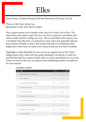# Elks

Goal scorers: Graham Mustard (8) Sam Beresford (5) Jonny Lee (2)

Player of the Year: Jonny Lee Sportsman of the Year: Ross Cooper

Not a great season for us results-wise, but we've had a lot of fun. The team took some time to gel, but once we did we played a lot better and some results started coming our way. The second half of the season was a lot better than the first, we picked up some wins and generally played much better football. 6 draws this season has left us wondering what might have been had we stuck a few more in the net, but that's football.

Highlight would definitely be our win away against one of the Three Kings teams, they came into the game thinking it would be a walkover and left the field in a state of shock after we put 4 past them for a 4-2 win. Great reward for the way we played and something positive to build on for next season.

|               | POS TEAM                               | P. | W            | D. | L F.                        |  | A GD PTS |
|---------------|----------------------------------------|----|--------------|----|-----------------------------|--|----------|
| $\mathbf{1}$  | Western Springs M3 The Young Ones      |    |              |    | 18 11 4 3 40 16 24 37       |  |          |
| $\mathcal{P}$ | Manurewa AFC M3                        |    |              |    | 18 10 3 5 34 25 9 33        |  |          |
| 3             | Bucklands Beach AFC M3 THE BEACH       |    |              |    | 18 9 3 6 49 40 9 30         |  |          |
| 4             | Three Kings Utd M3 Ajay                |    |              |    | 18 9 2 7 40 33 7 29         |  |          |
| 5             | Ellerslie AFC M3 Simpson               |    | $17 \quad 7$ |    | 6 4 40 29 11 27             |  |          |
| 6             | Eastern Suburbs AFC M3 Braks           |    |              |    | 17 6 5 6 43 36 7 23         |  |          |
| 7             | Three Kings Utd M3 Brothers            |    | 18 7         |    | $2 \t9 \t26 \t35 \t-9 \t23$ |  |          |
| 8             | South Auckland Rangers AFC M3 AK Lions |    |              |    | 18 7 2 9 30 41 -11 23       |  |          |
| 9             | High School Old Boys M3 Kadavu         |    | $18 \quad 3$ |    | 3 12 20 42 -22 12           |  |          |
| 10            | <b>Ellerslie AFC M3 Elks</b>           |    | $18 \quad 2$ |    | 6 10 23 48 -25 12           |  |          |

#### **CURRENT LADDER**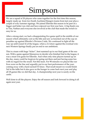# Simpson

We are a squad of 20 players who came together for the first time this season, largely made up from two South Auckland Rangers teams from last year plus a couple of wily summer signings. We joined Ellerslie this season to be part of a bigger and better run club and have enjoyed our first year here. A big thank you to Tim, Nathan and everyone else involved at the club that made the switch so easy for us.

After a strong start, we had a disappointing five game spell in the middle of our season which ultimately cost us the title and saw us knocked out of the cup on penalties up against Ellerslie's Division 2 side. We continued to fight all the way up until round 16 of the league, when a 2-2 draw against the eventual winners Western Springs finally put an end to our ambitions.

This is a team with huge "ticker", best summed up in our final game of the season. With a game against Manurewa to decide who finished 2nd in the league, it was a must win game for Ellerslie. And when only nine players turned up on the day, many could be forgiven for going out there and just having some fun with no regard for the result. Not this team. For 90 minutes we played like our lives were on the line and arguably put in our best performance of the year, coming away with a hard earned 0-0 draw. That result meant we would finish 3rd in the table but it also gave us the hunger to come back next year and play all 18 games like we did that day. A championship next year is surely on the cards.

Well done to all the players. Enjoy the off season and look forward to doing it all again next year.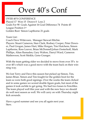# Over 40's Conf

OVER 40'S CONFERENCE Played 17 Won 15 Drawn 0 Loss 2 Goals For 90 Goals Against 16 Goal Difference 74 Points 45 League Position 1st Golden Boot Simon Lapthorne 21 goals

Team List : Coach Dave Witteveen, Manager Stewart Ritchie. Players: Stuart Cameron, Stan Clark, Rodney Cooper, Peter Downer, Paul Grogan, James Hart, Mike Horgan, Tim Hutchens, Simon Lapthorne, Ross Leaver, Brian McDonnell,Johan Oosterhoff, Mark Phillips, Altan Ramaden, Gary Walton, Darryl Ward, Cameron Mathewson, Scott Meikle, Geno Granger.

With the team getting older we decided to move from over 35's to over 40's which was a good move with the team back on their winning way.

We lost Terry and Dave this season but picked up Simon, Tim, James Brian. Simon and Tim fought for the golden boot for the team so were both good signings. Over the weeks the team clicked and in some games we scored double figure goals, but most of the games it took awhile to get going. We had two losses to Fencibles. The team played well this year and with the new boys we should do well next season as well. We will carry on with Thursday night kick arounds.

Have a good summer and see you all again next year. Stew.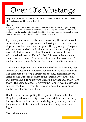# Over 40's Mustangs

League 6th place (of 10), Played 18, Won 8, Drawn 0, Lost too many, Goals For 51, Goals Against 44, Clean Sheets 2

Players:

Alan Opperman, Allister Simpson, Andrew Kelland, Bruce Allison, Campbell Notley, Daryl Price, Gowan Creamer, Graeme Steel, Greg Woolley, Ian McLean, Ian McMullin, Ian Perry, Jay Kaylan, Jason Gabites, Keith Littmoden, Ken Hart, Len Nelson, Lyubisha Mirkov, Max Peach, Paul Christian, Sam Ratnam, Tony Jenkins

If you judged a season solely based on reading the results it could be considered an average season but looking at it from a teamanship view we had another stellar year. The guys are great to play with, mates on and off the field, and as talked about during our away trip last weekend to New Plymouth, during which we acknowledged Len and Ken's for their 25 years in the team, the guys have not come to blows at any time over the years, apart from the hot air wind / words during the game and no listens anyway.

New Plymouth proved to be another end of season fun away trip. Most of us departed on Thursday for Hamilton as New Plymouth was considered too long a stretch for one day. Hamilton set the scene, or was it the car accident in the carpark as we drove off, either way the next 24 hours were eventful but what goes away stays away. The game against New Plymouth Rangers was bloody hard and the result a 5 – 1 loss. Still missing 2 goals that your grandmother might score didn't help.

Due to the lateness of getting this report in it has been kept short. Only thing left to say is a big thanks to Ian McLean and Ian Perry for organising the team and all, and a big see you next year to all the guys – hopefully fitter and trimmer than this year – Yeah Right!.

Team Management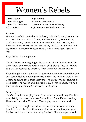# Women's Rebels

**Team Coach: Nga Kairua**

**Team Manager: Natasha Whitehead Team Co-Captains: Maree Blair & Lauren Recny V/Captains: Ayla Surtees & Chelsey Ritson** 

### **Players**

Felicity Barnfield, Natasha Whitehead, Belinda Carson, Donna Pervan, Ayla Surtees, Kiri Aikman, Katrina Newton, Maree Blair, Chelsey Ritson, Lauren Recny, Kirsten Sibbit, Lana Davies, Eva Perrone, Nicky Harrison, Marissa Ables, Kerri-Anne, Palmer, Ashley Hardie, Katherine Wilson, *Hayley Nepia, Nora Koch, Petra Wedlake*

Key: *Italics* – Casual players

The 2015 Season was going to be a season of continuity from 2014 with 7 new players and with a squad of 18 plus 3 Casuals. The Rebels will endeavour to improve from where we left off in 2014.

Even though we lost the very  $1<sup>st</sup>$  game we were very much focused and committed to pushing forward but on the horizon were 4 new Teams added to the 4 from last year. The battle was on. The Rebels held trials for 5 weeks and the Rebel Squad was selected. We had the same Management Structure as last Season.

### New Players

This Season the new players to Team were Lauren Recny, Eva Perrone, Nicky Harrison, Marissa Ables, Kerri-Anne Palmer, Ashley Hardie & Katherine Wilson. 3 Casual players were also added.

These players brought new dimensions, dynamics and new culture to the Rebels. The attitude was that we wanted to play good football and the attitude of wining football. There is experience in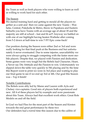the Team as well as fresh players who were willing to learn as well as willing to work hard for each other.

### The Season

We started training hard and getting to mould all the players together as a unit and then we came against the new Teams – Waiheke, Central, Pukekohe & Metro, throw in Papakura and Eastern Suburbs you have Teams with an average age of about 18 and the majority are still at school – fast and fit as!!! Anyway we battled on with one of our highlight having beaten Waiheke after coming from 5-2 down at half-time to win 7-5!!! Epic come-back!

Our position during the Season were either 2nd or 3rd and were really looking for that final push at the Business end but unfortunately it never eventuated. Due to some injuries, unavailability we were always going to struggle competing with the faster more mobile players. Despite that, we played with Passion and dedication. Some games were very tough but the Rebels had Character, Heart, a Never say Die Attitude and the Passion to win. Unfortunately we slipped down the table very quickly to 5th placing and by the time this Report went to print we were in 3rd place and waiting to play our final game to see if we end up 3rd or 4th. Our goal this Season was – Top 4 finish!

### Notable Contributions

The Rebels were ably led by Maree and Lauren with Ayla and Chelsey vice-captains. Good mix of players both experienced and new. All 4 of these players led by example and were passionate about this Team. Always had that excellent work ethics. Great Role Models on and off the field.

In Goal we had Fliss for the most part of the Season and Kirsten towards the end great performance by these two Our defenders had a torrid time this season due to the calibre of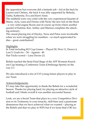the opposition but everyone did a fantastic job – led at the back by Lauren and Chelsey, the back 4 was ably supported by Belinda, Tasha, Katherine, Eva and Kerri-Anne.

The midfield were very solid with the very experienced Quartet of Maree, Ayla, Lana and Donna with Nicky the new kid on the block – a very solid engine Room and of course up front where another quartet of Katrina, Kiri, Ashley and Marissa completes the attacking armoury.

The casual playing trio of Hayley, Nora and Petra were invaluable when we were struggling for numbers – so much appreciated ladies – great contribution!!

### **Highlights**

In Total including KO Cup Games – Played 20, Won 11, Drawn 4, Lost  $5$ , Goals for  $-54$  – Against -  $40$ Hat-Tricks scored – Lana Davies (1)

Rebels reached the Semi-Final Stage of the AFF Womens Knockout Cup beating a Conference Team (Onehunga Sports) on the way 2-1

We also introduced a trio of U15 young future players to play in our Team

### Acknowledgements:

If I may take this opportunity to thank the Rebels for a wonderful Season. Thanks for playing hard, for playing an attractive style of football and I think overall it was another successful Season.

Look, we are a Social Team that plays in a very Competitive Division so its Testimony to your tenacity, skill-base and a passionate demeanour that we have achieved what we wanted – playing as the Rebels and that we play to WIN but if we loose that's OK too.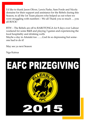I'd like to thank Jason Oliver, Lewis Parke, Sam Forde and Nicola demaine for their support and assistance for the Rebels during this Season, to all the 1st Team players who helped us out when we were struggling with numbers – We all Thank you so much ….you all ROCK!

BTW – The Rebels are off to RAROTONGA for 8 days over Labour weekend for some R&R and playing 3 games and experiencing the local hospitality and drinking wells

Maybe a day in Aitutaki too …....God its so depressing but someone had to do it!

May see ya next Season

Nga Kairua

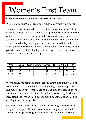# Women's First Team

### **Ellerslie Women's AFF/NFF Conference Division**

*\*Please note: results/stats may vary pending final games being played.*

This has been a season where we achieved several new milestones. In terms of basic stats we've blown our previous seasons out of the water, we've won as many games this year as in our previous two seasons combined and doubled last year's points tally. We've also scored considerably more goals and conceded less than half of last year's goal tallies. We've finished with a positive and pretty decent goal difference and it is the highest ranking we've ever achieved cementing ourselves into the top 5.

| Year  | Placing         | <b>Wins</b> | <b>Draws</b> | .osses | GF       | GA | GD | Pts |
|-------|-----------------|-------------|--------------|--------|----------|----|----|-----|
| 2013  | 7th             |             |              |        | ^7       | 35 |    | 19  |
| 2014  | 7th             |             |              |        | ററ       | 45 | ററ | 'ე  |
| *2015 | 5 <sup>th</sup> |             |              |        | ົາ<br>υı | 10 | 18 | 30  |

We've had more obstacles than I care to count along the way, but each time we overcame them, learning and getting stronger. We've lost players to injury, lost players to travel, holidays and opportunities, and lost players to other clubs, but also we've gained new faces along the way to keep our momentum going and to keep us striding towards our goals.

I'd like to thank everyone who helped us throughout the season, supporters, helpers, the club, coaches and the players, not to forget our steady supply of ring-ins. Through our combined spirit and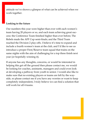attitude we've shown a glimpse of what can be achieved when we work together.

### **Looking to the future**

Our numbers this year were higher than ever with each women's team having 20 players or so, and each team achieving great success: the Conference Team finished higher than ever before; The Rebels made the AFF Cup semi-finals; and the Third Team reached the Division 2 play-offs. I believe it's time to expand and include a fourth women's team at the club, and I'd like to see us introduce a proper First/Reserve team squad that trains on the same nights with the aim of challenging for a top three finish next year (or hopefully winning it).

If anyone has any thoughts, concerns, or would be interested in helping this get off the ground then please contact me, we would be looking for coaches, assistants, managers and could even look at developing a pathway from youth to senior. I would also like to make sure that no existing players or teams are left by the wayside, so please contact me if you have any worries or want to keep completely independent, I truly believe we can find a solution that will work for all 4 teams.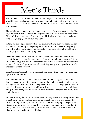# Men's Thirds

Well, I knew last season would be hard to live up to, but I never thought it would be this hard! After being fortunate enough to be included once again in the NRFL Div 2 League we joined the preparations for the season with our Firsts and Reserves.

Thankfully we managed to retain some key players from last season, Luke Dixon, Ross Borrill, Tim Covey and Glen Jones whilst others moved on, most to the First and Reserves set up. We recruited well bringing in players such as Delan, Jono, Tom, Hoops, Tim, Happy and Baljit.

After a disjointed pre-season whilst the team was being built we began the season well accumulating some good points and finding ourselves at the pointy end of the table. Luke Dixon was particularly impressive from the right wing scoring 6 goals in our opening 4 games.

Overall however as other commitments, injuries and general malaise got the best of the squad results began to taper off as we got to into the season. Entering into a patch of games about 7 weeks from the end of the season we knew that if we won the next 2-3 games we would be sitting on top with a good run in. We proceeded to lose our next 5.

Whilst moments like above were difficult as a coach there were some great highlights from the season.

Paul Hooper ventured out of semi-retirement to play a large role in the team. Paul is a very controlled, technical leader on the pitch. He has the ability to control a game and its tempo from a deep position and was a key player in many of our wins this season. Always providing welcome advice at half time, trainings, pre game and post game he has had a huge influence on myself and many players in the team.

Luke Dixon truly kicked on from last year, moving forward from right back into a right wing position and has established himself as a true workhorse in the team. Working tirelessly up and down the flanks and bringing some goals into his game he was a star performer this year. Luke is someone who should definitely kick on over the next few years and I wouldn't be surprised to see him playing reserve level football or higher.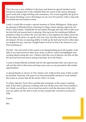Tim Carr was a new addition to the team and deserves special mention as he formed an integral part of the midfield three for much of the season bringing good work-rate, tough tackling and consistency. He scored arguably the goal of the season finishing a move that began on our own 18 yard box with a crisp side foot finish into the bottom corner.

Lastly I would like to make a special mention to Delan Mahlagwai. Delan grew up playing at Ellerslie before venturing to Otago where during a game he suffered a heart attack. Thankfully he has pulled through and had with us this year his first full real season back to playing. Moving from his traditional fullback position to that of a striker the year has been a real adaption for Delan, however he has taken all advice on openly and was a key into the style of play this team developed. He has an amazing ability to hold up the ball and involve other players despite his size, and has a bright future in front of him if he chooses to continue pushing on.

Overall – the end result of the season was disappointing given the quality available in our team however there have been, as above, some real highlights and exciting talents along the way. I believe that this core of players can kick on like the last and look forward to seeing what they do in the future.

I want to thank Ellerslie football club for the opportunities they have given myself and the lads in this team and hope next year we are presented with similar opportunities.

A special thanks as always to Tim Adams who without him none of this would be possible. Someone who puts in an insurmountable amount of work behind the scenes to ensure that all the senior club is on track.

To Chris, Marshy, Fred, Dave and Ben the remainder of the senior coaching staff. It has been a pleasure working with you all this year and I have learned a lot. I think you all have a lot to look forward to with the direction of the club and can safely say the club is lucky to have people like yourselves around to help.

Cheers

Ben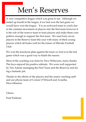# Men's Reserves

A very competitive league which was great to see. Although we ended up fourth in the league, if we had won the last game we would have won the league. It is an awkward team to coach due to the constant movement of players into the first team however it is the role of the reserve team to train players and make them competitive enough to support the first team. We used forty seven players in the Reserve team this year with many of them young players which all bodes well for the future of Ellerslie Football  $Cl<sub>11</sub>h$ 

We won the knockout plate against the team we lost to in the last game which was a good way to finish the season.

Most of the coaching was done by Dave Witteveen, many thanks. The boys enjoyed his positive attitude. We were well supported by Tim Adams managing the First Team and the Reserves and doing a fantastic job.

Thanks to the efforts of the players and the senior coaching staff and our physio team of Connor O'Driscoll and Avantha Hewvitharana

Cheers

Fred Poelman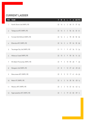### **CURRENT LADDER**

|                | POS TEAM                      | P | W                      | D. | L.                | F. |  | A GD PTS |
|----------------|-------------------------------|---|------------------------|----|-------------------|----|--|----------|
| 1.             | North Shore Utd (NRFL1R)      |   | 22 16 4 2 68 31 37 52  |    |                   |    |  |          |
| $\overline{2}$ | Takapuna AFC (NRFL1R)         |   | 22 16 3 3 56 24 32 51  |    |                   |    |  |          |
| 3              | Forrest Hill Milford (NRFL1R) |   | 22 16 2 4 78 28 50 50  |    |                   |    |  |          |
| 4              | Ellerslie AFC (NRFL1R)        |   | 22 16 2 4 59 24 35 50  |    |                   |    |  |          |
| 5              | Tauranga City Utd (NRFL1R)    |   | 21 11 1 9 47 34 13 34  |    |                   |    |  |          |
| $\overline{6}$ | Hibiscus Coast (NRFL1R)       |   | 22 10 3 9 50 36 14 33  |    |                   |    |  |          |
| 7              | Mt Albert Ponsonby (NRFL1R)   |   | 22 9                   |    | 3 10 55 48 7 30   |    |  |          |
| 8              | Mangere Utd (NRFL1R)          |   | 21 8 1 12 27 62 -35 25 |    |                   |    |  |          |
| 9              | Manurewa AFC (NRFL1R)         |   | 22 5                   | 5. | 12 17 41 -24 20   |    |  |          |
| 10             | Metro FC (NRFL1R)             |   | 22 4 2 16 28 56 -28 14 |    |                   |    |  |          |
| 11             | Waiuku AFC (NRFL1R)           |   | $22 \frac{1}{2}$       |    | 2 16 22 64 -42 14 |    |  |          |
| 12             | Ngaruawahia AFC (NRFL1R)      |   | $22 \quad 1$           |    | 2 19 23 82 -59 5  |    |  |          |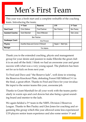# Men's First Team

This year was a fresh start and a complete reshuffle of the coaching team. Introducing the team;

|                          | 1 <sup>st</sup> Team               | <b>Reserves</b> | U <sub>19</sub>     | 3rd Team          |  |  |  |
|--------------------------|------------------------------------|-----------------|---------------------|-------------------|--|--|--|
| <b>Head Coach</b>        | Chris Wallace                      | Fred Poelman    | <b>Ben Fletcher</b> | <b>Ben Pauley</b> |  |  |  |
| <b>Assistant Coaches</b> | <b>Grant Marshall</b>              | Dave Witteveen  |                     | Glen Jones        |  |  |  |
|                          | <b>Ben Fletcher</b>                |                 |                     |                   |  |  |  |
| <b>Goalkeeper Coach</b>  |                                    | Kris Pinnock    |                     |                   |  |  |  |
| <b>Physios</b>           | Avantha Hewa and Connor O'Driscoll |                 | Napier = Matt Hyla  |                   |  |  |  |
| Manager                  |                                    |                 |                     |                   |  |  |  |

Thank you to the extended coaching, physio and management group for your desire and passion to make Ellerslie the great club it is on and off the field. I think we had an awesome year and great success with what was a very young squad. The platform has been set for us to kick on from next year.

To Fred and Dave and "the Reserve lads", well done in winning the Reserves Knockout Plate, defeating Forest Hill Milford 3-1 in the final, a great effort. Thanks to Fred and Dave for your invaluable input to the senior teams this year, awesome job.

Thanks to Grant Marshall for all your work with the teams particularly in warm ups and cool downs but also being a great sounding board and mentor to the lads.

We again fielded a 3rd team in the NRFL Division 2 Reserves League. Thanks to Ben Pauley and Glen Jones for coaching and organising this group which this year allowed some less experienced U19 players senior team experience and also some senior 1<sup>st</sup> and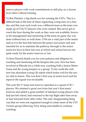reserve players with work commitments to still play ay a decent level often without training.

To Ben Fletcher, a big thank you for running the U19's. This is a difficult task at the best of times organising young men on a Sunday and this year each week was a different team as the team was made up of U16/17 players who were rotated. Ben never got to coach the boys during the week as they were not available, however his management and mentoring of the team on game day was done without fuss, so well done. U19s are a vital part of the senior club as it is the first link between the junior and senior club and essential for us to maintain the pathway through to the senior teams for boys in their last year at school and school leavers not quite ready for the senior reserves or 1sts.

To Kris Pinnock thank you for your patience and diligence in coaching and mentoring all the Keepers this year. Kris has been involved at Ellerslie for a while now coaching both a Junior Metro Team and the young keepers as a group. To his credit the club now has abundant young GK talent which bodes well for the senior club in future. This was Kris's first year at senior level and his input to the squad was invaluable.

This year the 1<sup>st</sup> team and reserves operated as a squad of  $30 +$ players. We retained a good core from last year's first team/ reserves and added a great number of talented young players who had just left school, had returned to the top flight after time away or had returned from other clubs. The only disappointing thing was that we were not organised enough to retain more of the U19 Torrens group following Terry being unavailable to continue coaching.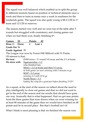The squad was well balanced which enabled us to split the group to different sessions based on position or technical elements once a week and then to train as teams once a week in readiness for the weekends game. The squad was also quite young with 6 U20 in 1st team and 12 U20 in reserves.

The season started very well and we were top of the table after 5 rounds but struggled with consistency and closing games out when we had them won, finally finishing  $4<sup>th</sup>$ .

| Games                                 | 22 | Points                    |        | 42                                                               |
|---------------------------------------|----|---------------------------|--------|------------------------------------------------------------------|
| Won 12 Drew                           |    | $6\overline{6}$           | Lost 4 |                                                                  |
| <b>Goals For 56</b>                   |    |                           |        |                                                                  |
| <b>Goals Against</b> 35               |    |                           |        |                                                                  |
|                                       |    |                           |        | The League was won by Forest Hill Milford with 51 Points.        |
| Of interest is that;                  |    |                           |        |                                                                  |
| We beat                               |    |                           |        | FHM twice $-1$ <sup>st</sup> round 3-0 away and the 2-1 at home. |
| <b>We drew with</b> Ngaruawahia – 1-1 |    |                           |        |                                                                  |
|                                       |    | who finished last.        |        |                                                                  |
|                                       |    |                           |        | Metro $-2$ -2 at home and then 3-3 away.                         |
|                                       |    |                           |        | In both games we were winning with 5 minutes to go               |
|                                       |    | $MAP-3-3$ away            |        |                                                                  |
|                                       |    | winning 3-1 with 10 to go |        |                                                                  |
|                                       |    | North Shore - 3-3         |        |                                                                  |
|                                       |    |                           |        | leading the comp for a good part before finishing $2nd/3rd$      |
|                                       |    |                           |        |                                                                  |

As a squad, at the start of the season we talked about the need to play intelligently to close out games and that we did not want to get to the end of the season and rue results that should have gone our way. Ironically that is what happened. Had we got max points from the three games that were drawn when we were winning for at least 80 minutes of the game then we would have finished on 48 points and be in second place. But that's football isn't it!

What I think is most pleasing is that we finished the season very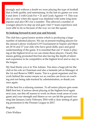strongly and without a doubt we were playing the type of football that is both quality and entertaining. In the last six games we won 4 and drew 2 with Goals For = 21 and Goals Against = 9. This was also at a time when the squad was depleted with some long term injuries and also OE's for a number. This allowed a number of younger players to step up and gain vital 1<sup>st</sup> team experience and were able to do so because of the way we ran the squad.

### **So looking forward to next year and beyond.**

The club has a great Junior section which is producing a large number of talented players. We are at present trialling players for the annual Labour weekend U19 Tournament in Napier and there are 20 16 and 17 year olds who have great skills, pace and good understanding of the game. It is essential that our 1<sup>st</sup> team is playing at the highest level so we can retain these players. Clearly this means getting promoted first but also having the depth of talent and experience to be competitive at the highest level and so stay in the league.

My final thank you is to Tim Adams. Tim does a huge job for the club in his role as Chairman and also a fantastic job as Manager of the 1st and Reserve NRFL teams. Tim is a great organiser and his work behind the scenes means we as coaches can focus on coaching and not being side-tracked by administration, so thank you once again.

All the best for a relaxing summer. To all senior players gets some R&R first but, if serious about playing at the highest level again next year, use this off season to work on those weak areas of your game and your strength and fitness so we can hit the ground running late January/early February 2016 with a clear aiming of gaining promotion to the Premier League in 2017.

Regards

Chris Wallace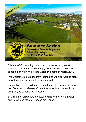

Ellerslie AFC is running a summer 11s series this year at Michael's Ave Saturday evenings, Competition is a 10 week season starting in mid to late October, ending in March 2016.

We welcome registration from teams and will also work to place individuals and groups into teams as well.

This will also be a paid referee development program with support from senior referees. Contact us to register interest in this program, no experience necessary.

E-Mail chairman@ellersliefootball.org.nz for more information and to register interest. Spaces are limited.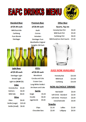



#### **Standard Beer**

#### all \$5.00 each

**Wild Buck Ale** Carlsberg Pure Blonde Steinlager

### **Premium Beer**

#### all \$6.00 each

**Asahi** Corona Heineken **Steinlager Pure Montheiths Original Speights Old Dark** 

### **Other Beer**

**Quarts, Tap etc** 

| <b>Honesty Box Pint</b>          | \$3.00 |
|----------------------------------|--------|
| <b>Wild Buck Pint</b>            | \$5.00 |
| <b>Carlsberg Pint</b>            | \$6.00 |
| Wild Buck/Lion Red Quarts \$7.00 |        |



### **Light Beer** all \$5.00 each **Steinlager Light Amstel Light** Light Ice (NOW \$3) **Cider**

| <b>Honesty Box</b>    | \$5.00  |  |  |  |  |  |  |
|-----------------------|---------|--|--|--|--|--|--|
| <b>Bulmers</b>        | \$6.00  |  |  |  |  |  |  |
| <b>Wild Side</b>      | \$8.00  |  |  |  |  |  |  |
| Wine                  |         |  |  |  |  |  |  |
| Glass                 | \$6.00  |  |  |  |  |  |  |
| Bottle (Large)        | \$25.00 |  |  |  |  |  |  |
| <b>Bottle (Small)</b> | \$6.00  |  |  |  |  |  |  |

| RTD's                    |        |  |  |  |  |  |
|--------------------------|--------|--|--|--|--|--|
| all \$6.00 each          |        |  |  |  |  |  |
| Woodstock                |        |  |  |  |  |  |
| Coruba and Cola          |        |  |  |  |  |  |
| Cruiser Cans             |        |  |  |  |  |  |
| Long White Vodka's       |        |  |  |  |  |  |
| <b>Jim Beam and Coke</b> |        |  |  |  |  |  |
| <b>Spirits</b>           |        |  |  |  |  |  |
| Single                   | \$5.00 |  |  |  |  |  |
| Double                   | \$6.00 |  |  |  |  |  |
| Jagerbomb                | \$9.00 |  |  |  |  |  |
|                          |        |  |  |  |  |  |

Chips **Chocolate Bars** 



### **JUGS NOW AVAILABLE**

| <b>Honesty Box</b> | \$10.00 |
|--------------------|---------|
| <b>Wild Buck</b>   | \$15.00 |
| Carlsberg          | \$16.00 |

### **NON-ALCHOLIC DRINKS**

| Red Bull/V            | \$3.00 |
|-----------------------|--------|
| Soft Drink - Standard | \$2.00 |
| Soft Drink - Premium  | \$3.00 |
| Juice/Gatorade        | \$3.00 |
|                       |        |

### **Snacks**

| \$1.50 | Lollies  | \$1.00 |
|--------|----------|--------|
| \$2.00 | Lollypop | \$0.50 |